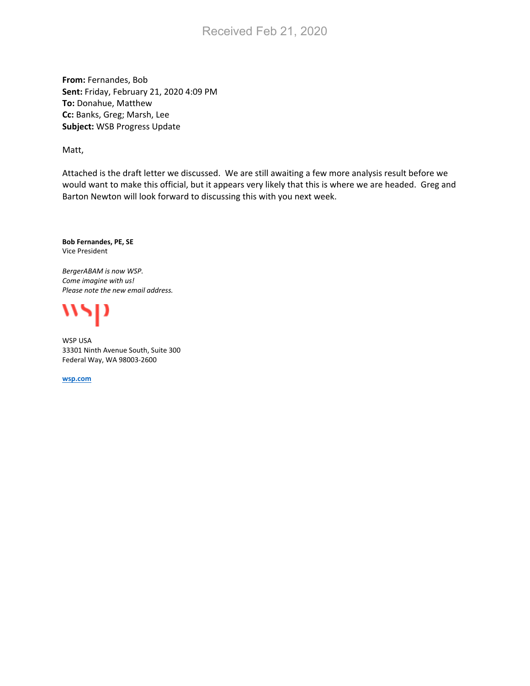# Received Feb 21, 2020

**From:** Fernandes, Bob **Sent:** Friday, February 21, 2020 4:09 PM **To:** Donahue, Matthew **Cc:** Banks, Greg; Marsh, Lee **Subject:** WSB Progress Update

Matt,

Attached is the draft letter we discussed. We are still awaiting a few more analysis result before we would want to make this official, but it appears very likely that this is where we are headed. Greg and Barton Newton will look forward to discussing this with you next week.

**Bob Fernandes, PE, SE** Vice President

*BergerABAM is now WSP. Come imagine with us! Please note the new email address.*



WSP USA 33301 Ninth Avenue South, Suite 300 Federal Way, WA 98003-2600

**[wsp.com](https://www.wsp.com/en-US)**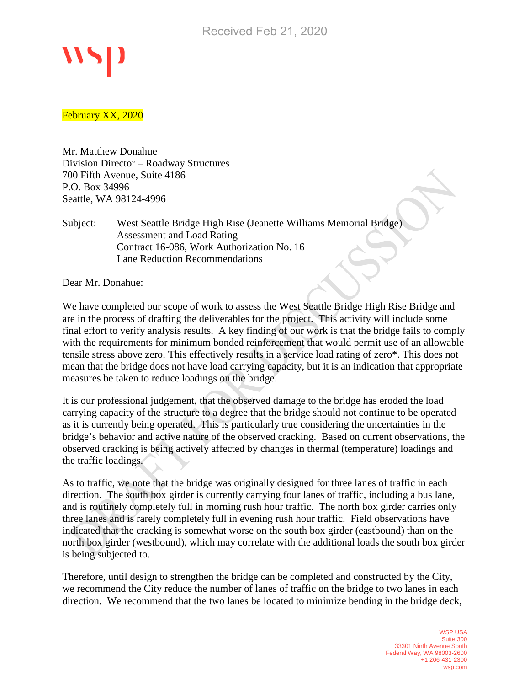#### February XX, 2020

Mr. Matthew Donahue Division Director – Roadway Structures 700 Fifth Avenue, Suite 4186 P.O. Box 34996 Seattle, WA 98124-4996

### Subject: West Seattle Bridge High Rise (Jeanette Williams Memorial Bridge) Assessment and Load Rating Contract 16-086, Work Authorization No. 16 Lane Reduction Recommendations

Dear Mr. Donahue:

We have completed our scope of work to assess the West Seattle Bridge High Rise Bridge and are in the process of drafting the deliverables for the project. This activity will include some final effort to verify analysis results. A key finding of our work is that the bridge fails to comply with the requirements for minimum bonded reinforcement that would permit use of an allowable tensile stress above zero. This effectively results in a service load rating of zero\*. This does not mean that the bridge does not have load carrying capacity, but it is an indication that appropriate measures be taken to reduce loadings on the bridge.

It is our professional judgement, that the observed damage to the bridge has eroded the load carrying capacity of the structure to a degree that the bridge should not continue to be operated as it is currently being operated. This is particularly true considering the uncertainties in the bridge's behavior and active nature of the observed cracking. Based on current observations, the observed cracking is being actively affected by changes in thermal (temperature) loadings and the traffic loadings.

As to traffic, we note that the bridge was originally designed for three lanes of traffic in each direction. The south box girder is currently carrying four lanes of traffic, including a bus lane, and is routinely completely full in morning rush hour traffic. The north box girder carries only three lanes and is rarely completely full in evening rush hour traffic. Field observations have indicated that the cracking is somewhat worse on the south box girder (eastbound) than on the north box girder (westbound), which may correlate with the additional loads the south box girder is being subjected to.

Therefore, until design to strengthen the bridge can be completed and constructed by the City, we recommend the City reduce the number of lanes of traffic on the bridge to two lanes in each direction. We recommend that the two lanes be located to minimize bending in the bridge deck,

> WSP USA Suite 300 33301 Ninth Avenue South Federal Way, WA 98003-2600 +1 206-431-2300 wsp.com